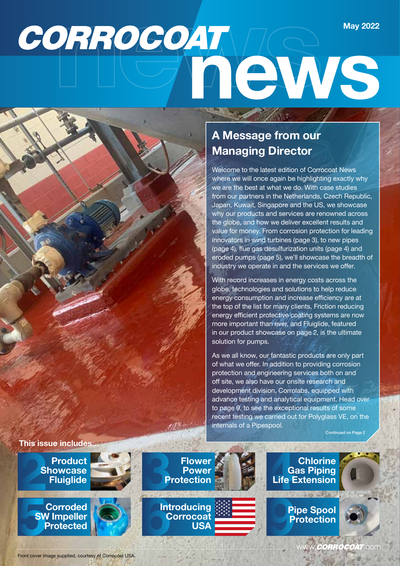# **CORROCOAT CONS May 2022**

#### **A Message from our Managing Director**

Welcome to the latest edition of Corrocoat News where we will once again be highlighting exactly why we are the best at what we do. With case studies from our partners in the Netherlands, Czech Republic, Japan, Kuwait, Singapore and the US, we showcase why our products and services are renowned across the globe, and how we deliver excellent results and value for money. From corrosion protection for leading innovators in wind turbines (page 3), to new pipes (page 4), flue gas desulfurization units (page 4) and eroded pumps (page 5), we'll showcase the breadth of industry we operate in and the services we offer.

With record increases in energy costs across the globe, technologies and solutions to help reduce energy consumption and increase efficiency are at the top of the list for many clients. Friction reducing energy efficient protective coating systems are now more important than ever, and Fluiglide, featured in our product showcase on page 2, is the ultimate solution for pumps.

As we all know, our fantastic products are only part of what we offer. In addition to providing corrosion protection and engineering services both on and off site, we also have our onsite research and development division, Corrolabs, equipped with advance testing and analytical equipment. Head over to page 9, to see the exceptional results of some recent testing we carried out for Polyglass VE, on the internals of a Pipespool.

Continued on Page 2



**2** Product<br>**2 Product**<br>**2 Proposed**<br>**2 Proposed Showcase**

**SW Impeller**



**Protected 62 Control Control Control Control Control Control Control Control Control Control Control Control Control Control Control Control Control Control Control Control Control Control Control Control Control Control** 

**Power**<br>**Protection Introducing Corrocoat USA**<br> **Example 19**<br> **USA**<br>
<br> **Example 19**<br> **Example 19**<br> **Example 19**<br> **Example 19** 



**Pipe Spool Protection**



Front cover image supplied, courtesy of Corrocoat USA.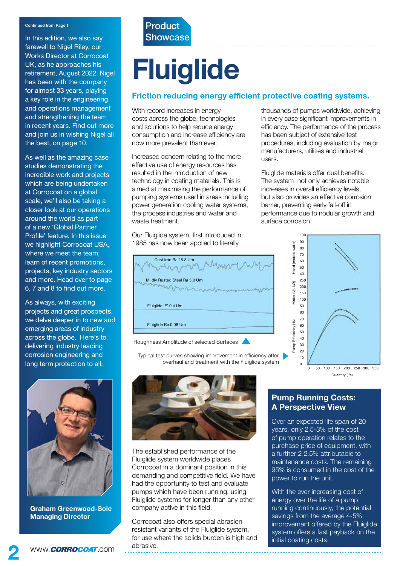In this edition, we also say farewell to Nigel Riley, our Works Director at Corrocoat UK, as he approaches his retirement, August 2022. Nigel has been with the company for almost 33 years, playing a key role in the engineering and operations management and strengthening the team in recent years. Find out more and join us in wishing Nigel all the best, on page 10.

As well as the amazing case studies demonstrating the incredible work and projects which are being undertaken at Corrocoat on a global scale, we'll also be taking a closer look at our operations around the world as part of a new 'Global Partner Profile' feature. In this issue we highlight Corrocoat USA, where we meet the team, learn of recent promotions, projects, key industry sectors and more. Head over to page 6, 7 and 8 to find out more.

As always, with exciting projects and great prospects, we delve deeper in to new and emerging areas of industry across the globe. Here's to delivering industry leading corrosion engineering and long term protection to all.



**Graham Greenwood-Sole Managing Director**

#### Continued from Page 1 **Product Showcase**

# **Fluiglide**

#### **Friction reducing energy efficient protective coating systems.**

With record increases in energy costs across the globe, technologies and solutions to help reduce energy consumption and increase efficiency are now more prevalent than ever.

Increased concern relating to the more effective use of energy resources has resulted in the introduction of new technology in coating materials. This is aimed at maximising the performance of pumping systems used in areas including power generation cooling water systems, the process industries and water and waste treatment.

Our Fluiglide system, first introduced in 1985 has now been applied to literally

Cast iron Ra 18.8 Um worr Mildly Rusted Steel Ra 5.0 Um  $\sim$ Fluiglide 'E' 0.4 Um Fluiglide Ra 0.08 Um

Roughness Amplitude of selected Surfaces

Typical test curves showing improvement in efficiency after overhaul and treatment with the Fluiglide system



The established performance of the Fluiglide system worldwide places Corrocoat in a dominant position in this demanding and competitive field. We have had the opportunity to test and evaluate pumps which have been running, using Fluiglide systems for longer than any other company active in this field.

Corrocoat also offers special abrasion resistant variants of the Fluiglide system, for use where the solids burden is high and abrasive.

#### thousands of pumps worldwide, achieving in every case significant improvements in efficiency. The performance of the process has been subject of extensive test procedures, including evaluation by major manufacturers, utilities and industrial users.

Fluiglide materials offer dual benefits. The system not only achieves notable increases in overall efficiency levels, but also provides an effective corrosion barrier, preventing early fall-off in performance due to nodular growth and surface corrosion.



#### **Pump Running Costs: A Perspective View**

Over an expected life span of 20 years, only 2.5-3% of the cost of pump operation relates to the purchase price of equipment, with a further 2-2.5% attributable to maintenance costs. The remaining 95% is consumed in the cost of the power to run the unit.

With the ever increasing cost of energy over the life of a pump running continuously, the potential savings from the average 4-5% improvement offered by the Fluiglide system offers a fast payback on the initial coating costs.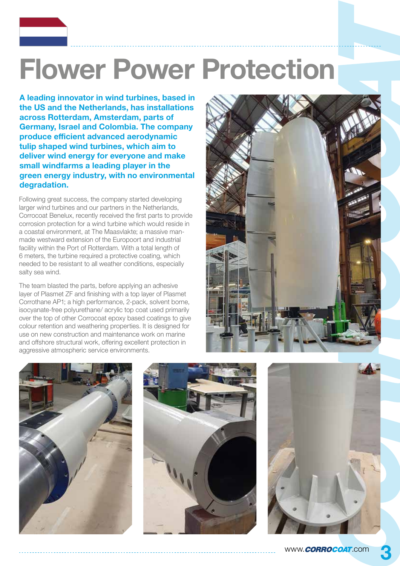## **Flower Power Protection**

**A leading innovator in wind turbines, based in the US and the Netherlands, has installations across Rotterdam, Amsterdam, parts of Germany, Israel and Colombia. The company produce efficient advanced aerodynamic tulip shaped wind turbines, which aim to deliver wind energy for everyone and make small windfarms a leading player in the green energy industry, with no environmental degradation.** 

Following great success, the company started developing larger wind turbines and our partners in the Netherlands, Corrocoat Benelux, recently received the first parts to provide corrosion protection for a wind turbine which would reside in a coastal environment, at The Maasvlakte; a massive manmade westward extension of the Europoort and industrial facility within the Port of Rotterdam. With a total length of 6 meters, the turbine required a protective coating, which needed to be resistant to all weather conditions, especially salty sea wind.

The team blasted the parts, before applying an adhesive layer of Plasmet ZF and finishing with a top layer of Plasmet Corrothane AP1; a high performance, 2-pack, solvent borne, isocyanate-free polyurethane/ acrylic top coat used primarily over the top of other Corrocoat epoxy based coatings to give colour retention and weathering properties. It is designed for use on new construction and maintenance work on marine and offshore structural work, offering excellent protection in aggressive atmospheric service environments.







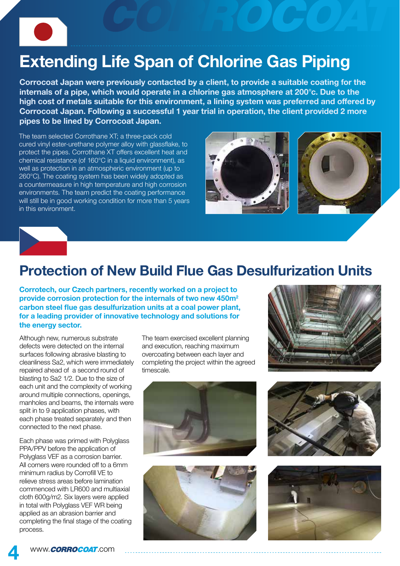### **Extending Life Span of Chlorine Gas Piping**

**Corrocoat Japan were previously contacted by a client, to provide a suitable coating for the internals of a pipe, which would operate in a chlorine gas atmosphere at 200°c. Due to the high cost of metals suitable for this environment, a lining system was preferred and offered by Corrocoat Japan. Following a successful 1 year trial in operation, the client provided 2 more pipes to be lined by Corrocoat Japan.**

The team selected Corrothane XT; a three-pack cold cured vinyl ester-urethane polymer alloy with glassflake, to protect the pipes. Corrothane XT offers excellent heat and chemical resistance (of 160°C in a liquid environment), as well as protection in an atmospheric environment (up to 260°C). The coating system has been widely adopted as a countermeasure in high temperature and high corrosion environments. The team predict the coating performance will still be in good working condition for more than 5 years in this environment.







### **Protection of New Build Flue Gas Desulfurization Units**

**Corrotech, our Czech partners, recently worked on a project to provide corrosion protection for the internals of two new 450m<sup>2</sup> carbon steel flue gas desulfurization units at a coal power plant, for a leading provider of innovative technology and solutions for the energy sector.**

Although new, numerous substrate defects were detected on the internal surfaces following abrasive blasting to cleanliness Sa2, which were immediately repaired ahead of a second round of blasting to Sa2 1/2. Due to the size of each unit and the complexity of working around multiple connections, openings, manholes and beams, the internals were split in to 9 application phases, with each phase treated separately and then connected to the next phase.

Each phase was primed with Polyglass PPA/PPV before the application of Polyglass VEF as a corrosion barrier. All corners were rounded off to a 6mm minimum radius by Corrofill VE to relieve stress areas before lamination commenced with LR600 and multiaxial cloth 600g/m2. Six layers were applied in total with Polyglass VEF WR being applied as an abrasion barrier and completing the final stage of the coating process.

The team exercised excellent planning and execution, reaching maximum overcoating between each layer and completing the project within the agreed timescale.









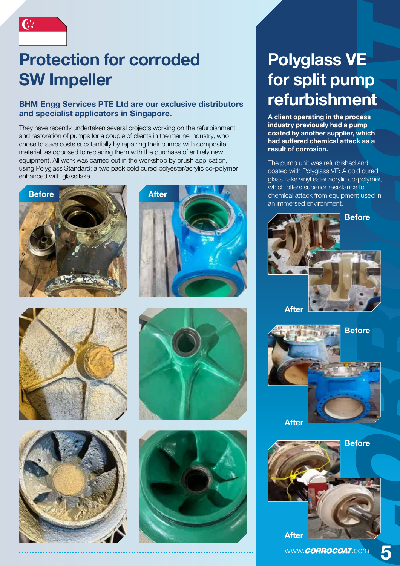### **Protection for corroded SW Impeller**

#### **BHM Engg Services PTE Ltd are our exclusive distributors and specialist applicators in Singapore.**

They have recently undertaken several projects working on the refurbishment and restoration of pumps for a couple of clients in the marine industry, who chose to save costs substantially by repairing their pumps with composite material, as opposed to replacing them with the purchase of entirely new equipment. All work was carried out in the workshop by brush application, using Polyglass Standard; a two pack cold cured polyester/acrylic co-polymer enhanced with glassflake.













### **Polyglass VE for split pump refurbishment**

**A client operating in the process industry previously had a pump coated by another supplier, which had suffered chemical attack as a result of corrosion.** 

The pump unit was refurbished and coated with Polyglass VE: A cold cured glass flake vinyl ester acrylic co-polymer, which offers superior resistance to chemical attack from equipment used in an immersed environment.





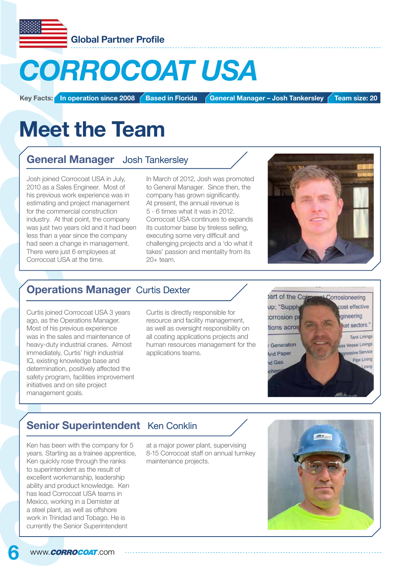

## *CORROCOAT USA*

**Key Facts: In operation since 2008** Based in Florida **General Manager – Josh Tankersley Team size: 20** 

## **Meet the Team**

#### **General Manager** Josh Tankersley

Josh joined Corrocoat USA in July, 2010 as a Sales Engineer. Most of his previous work experience was in estimating and project management for the commercial construction industry. At that point, the company was just two years old and it had been less than a year since the company had seen a change in management. There were just 6 employees at Corrocoat USA at the time.

In March of 2012, Josh was promoted to General Manager. Since then, the company has grown significantly. At present, the annual revenue is 5 - 6 times what it was in 2012. Corrocoat USA continues to expands its customer base by tireless selling, executing some very difficult and challenging projects and a 'do what it takes' passion and mentality from its 20+ team.



#### **Operations Manager** Curtis Dexter

Curtis joined Corrocoat USA 3 years ago, as the Operations Manager. Most of his previous experience was in the sales and maintenance of heavy-duty industrial cranes. Almost immediately, Curtis' high industrial IQ, existing knowledge base and determination, positively affected the safety program, facilities improvement initiatives and on site project management goals.

Curtis is directly responsible for resource and facility management, as well as oversight responsibility on all coating applications projects and human resources management for the applications teams.



#### **Senior Superintendent** Ken Conklin

Ken has been with the company for 5 years. Starting as a trainee apprentice, Ken quickly rose through the ranks to superintendent as the result of excellent workmanship, leadership ability and product knowledge. Ken has lead Corrocoat USA teams in Mexico, working in a Demister at a steel plant, as well as offshore work in Trinidad and Tobago. He is currently the Senior Superintendent

at a major power plant, supervising 8-15 Corrocoat staff on annual turnkey maintenance projects.

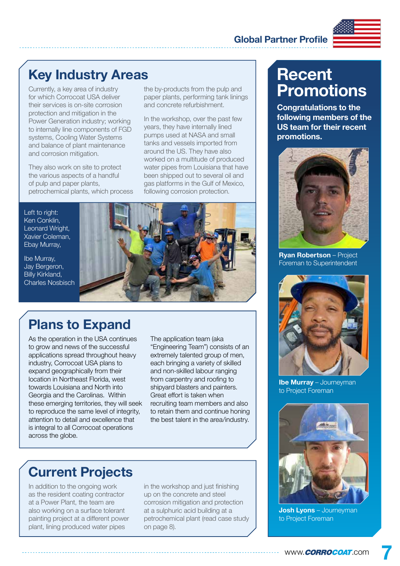#### **Global Partner Profile**



### **Key Industry Areas**

Currently, a key area of industry for which Corrocoat USA deliver their services is on-site corrosion protection and mitigation in the Power Generation industry; working to internally line components of FGD systems, Cooling Water Systems and balance of plant maintenance and corrosion mitigation.

They also work on site to protect the various aspects of a handful of pulp and paper plants, petrochemical plants, which process the by-products from the pulp and paper plants, performing tank linings and concrete refurbishment.

In the workshop, over the past few years, they have internally lined pumps used at NASA and small tanks and vessels imported from around the US. They have also worked on a multitude of produced water pipes from Louisiana that have been shipped out to several oil and gas platforms in the Gulf of Mexico, following corrosion protection.

Left to right: Ken Conklin, Leonard Wright, Xavier Coleman, Ebay Murray,

Ibe Murray, Jay Bergeron, Billy Kirkland, Charles Nosbisch



### **Plans to Expand**

As the operation in the USA continues to grow and news of the successful applications spread throughout heavy industry, Corrocoat USA plans to expand geographically from their location in Northeast Florida, west towards Louisiana and North into Georgia and the Carolinas. Within these emerging territories, they will seek to reproduce the same level of integrity, attention to detail and excellence that is integral to all Corrocoat operations across the globe.

The application team (aka "Engineering Team") consists of an extremely talented group of men, each bringing a variety of skilled and non-skilled labour ranging from carpentry and roofing to shipyard blasters and painters. Great effort is taken when recruiting team members and also to retain them and continue honing the best talent in the area/industry.

### **Current Projects**

In addition to the ongoing work as the resident coating contractor at a Power Plant, the team are also working on a surface tolerant painting project at a different power plant, lining produced water pipes

in the workshop and just finishing up on the concrete and steel corrosion mitigation and protection at a sulphuric acid building at a petrochemical plant (read case study on page 8).

### **Recent Promotions**

**Congratulations to the following members of the US team for their recent promotions.**



**Ryan Robertson** – Project Foreman to Superintendent



**Ibe Murray** – Journeyman to Project Foreman



**Josh Lyons** – Journeyman to Project Foreman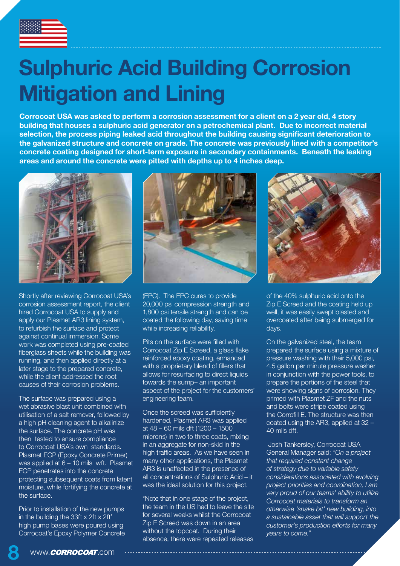

### **Sulphuric Acid Building Corrosion Mitigation and Lining**

**Corrocoat USA was asked to perform a corrosion assessment for a client on a 2 year old, 4 story building that houses a sulphuric acid generator on a petrochemical plant. Due to incorrect material selection, the process piping leaked acid throughout the building causing significant deterioration to the galvanized structure and concrete on grade. The concrete was previously lined with a competitor's concrete coating designed for short-term exposure in secondary containments. Beneath the leaking areas and around the concrete were pitted with depths up to 4 inches deep.**



Shortly after reviewing Corrocoat USA's corrosion assessment report, the client hired Corrocoat USA to supply and apply our Plasmet AR3 lining system, to refurbish the surface and protect against continual immersion. Some work was completed using pre-coated fiberglass sheets while the building was running, and then applied directly at a later stage to the prepared concrete, while the client addressed the root causes of their corrosion problems.

The surface was prepared using a wet abrasive blast unit combined with utilisation of a salt remover, followed by a high pH cleaning agent to alkalinize the surface. The concrete pH was then tested to ensure compliance to Corrocoat USA's own standards. Plasmet ECP (Epoxy Concrete Primer) was applied at 6 – 10 mils wft. Plasmet ECP penetrates into the concrete protecting subsequent coats from latent moisture, while fortifying the concrete at the surface.

Prior to installation of the new pumps in the building the 33ft x 2ft x 2ft' high pump bases were poured using Corrocoat's Epoxy Polymer Concrete



(EPC). The EPC cures to provide 20,000 psi compression strength and 1,800 psi tensile strength and can be coated the following day, saving time while increasing reliability.

Pits on the surface were filled with Corrocoat Zip E Screed, a glass flake reinforced epoxy coating, enhanced with a proprietary blend of fillers that allows for resurfacing to direct liquids towards the sump– an important aspect of the project for the customers' engineering team.

Once the screed was sufficiently hardened, Plasmet AR3 was applied at 48 – 60 mils dft (1200 – 1500 microns) in two to three coats, mixing in an aggregate for non-skid in the high traffic areas. As we have seen in many other applications, the Plasmet AR3 is unaffected in the presence of all concentrations of Sulphuric Acid – it was the ideal solution for this project.

\*Note that in one stage of the project, the team in the US had to leave the site for several weeks whilst the Corrocoat Zip E Screed was down in an area without the topcoat. During their absence, there were repeated releases



of the 40% sulphuric acid onto the Zip E Screed and the coating held up well, it was easily swept blasted and overcoated after being submerged for days.

On the galvanized steel, the team prepared the surface using a mixture of pressure washing with their 5,000 psi, 4.5 gallon per minute pressure washer in conjunction with the power tools, to prepare the portions of the steel that were showing signs of corrosion. They primed with Plasmet ZF and the nuts and bolts were stripe coated using the Corrofill E. The structure was then coated using the AR3, applied at 32 – 40 mils dft.

Josh Tankersley, Corrocoat USA General Manager said; *"On a project that required constant change of strategy due to variable safety considerations associated with evolving project priorities and coordination, I am very proud of our teams' ability to utilize Corrocoat materials to transform an otherwise 'snake bit' new building, into a sustainable asset that will support the customer's production efforts for many years to come."*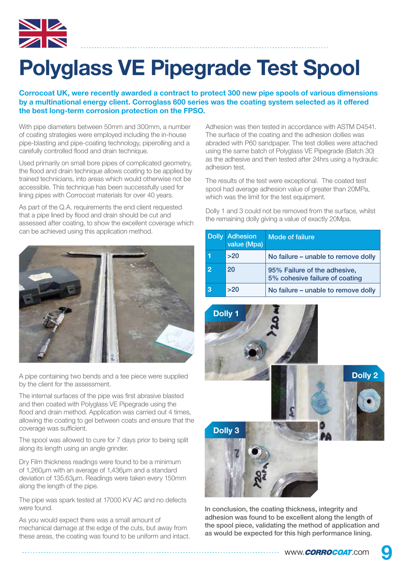

## **Polyglass VE Pipegrade Test Spool**

#### **Corrocoat UK, were recently awarded a contract to protect 300 new pipe spools of various dimensions by a multinational energy client. Corroglass 600 series was the coating system selected as it offered the best long-term corrosion protection on the FPSO.**

With pipe diameters between 50mm and 300mm, a number of coating strategies were employed including the in-house pipe-blasting and pipe-coating technology, piperolling and a carefully controlled flood and drain technique.

Used primarily on small bore pipes of complicated geometry, the flood and drain technique allows coating to be applied by trained technicians, into areas which would otherwise not be accessible. This technique has been successfully used for lining pipes with Corrocoat materials for over 40 years.

As part of the Q.A. requirements the end client requested that a pipe lined by flood and drain should be cut and assessed after coating, to show the excellent coverage which can be achieved using this application method.



A pipe containing two bends and a tee piece were supplied by the client for the assessment.

The internal surfaces of the pipe was first abrasive blasted and then coated with Polyglass VE Pipegrade using the flood and drain method. Application was carried out 4 times, allowing the coating to gel between coats and ensure that the coverage was sufficient.

The spool was allowed to cure for 7 days prior to being split along its length using an angle grinder.

Dry Film thickness readings were found to be a minimum of 1,260µm with an average of 1,436µm and a standard deviation of 135.63µm. Readings were taken every 150mm along the length of the pipe.

The pipe was spark tested at 17000 KV AC and no defects were found.

As you would expect there was a small amount of mechanical damage at the edge of the cuts, but away from these areas, the coating was found to be uniform and intact. Adhesion was then tested in accordance with ASTM D4541. The surface of the coating and the adhesion dollies was abraded with P60 sandpaper. The test dollies were attached using the same batch of Polyglass VE Pipegrade (Batch 30) as the adhesive and then tested after 24hrs using a hydraulic adhesion test.

The results of the test were exceptional. The coated test spool had average adhesion value of greater than 20MPa, which was the limit for the test equipment.

Dolly 1 and 3 could not be removed from the surface, whilst the remaining dolly giving a value of exactly 20Mpa.

|                | <b>Dolly Adhesion</b><br>value (Mpa) | <b>Mode of failure</b>                                         |
|----------------|--------------------------------------|----------------------------------------------------------------|
|                | >20                                  | No failure – unable to remove dolly                            |
| $\overline{2}$ | 20                                   | 95% Failure of the adhesive,<br>5% cohesive failure of coating |
|                | >20                                  | No failure – unable to remove dolly                            |



In conclusion, the coating thickness, integrity and adhesion was found to be excellent along the length of the spool piece, validating the method of application and as would be expected for this high performance lining.